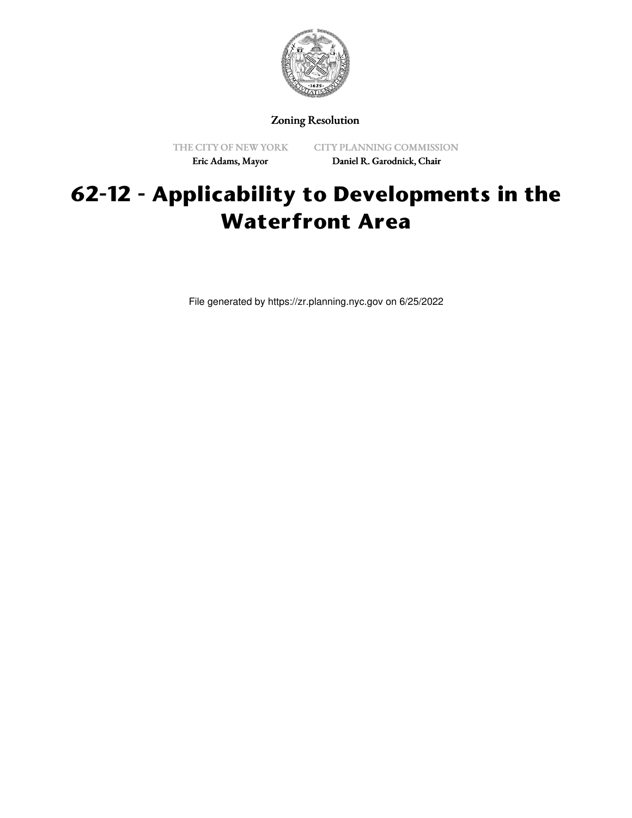

Zoning Resolution

THE CITY OF NEW YORK Eric Adams, Mayor

CITY PLANNING COMMISSION Daniel R. Garodnick, Chair

## **62-12 - Applicability to Developments in the Waterfront Area**

File generated by https://zr.planning.nyc.gov on 6/25/2022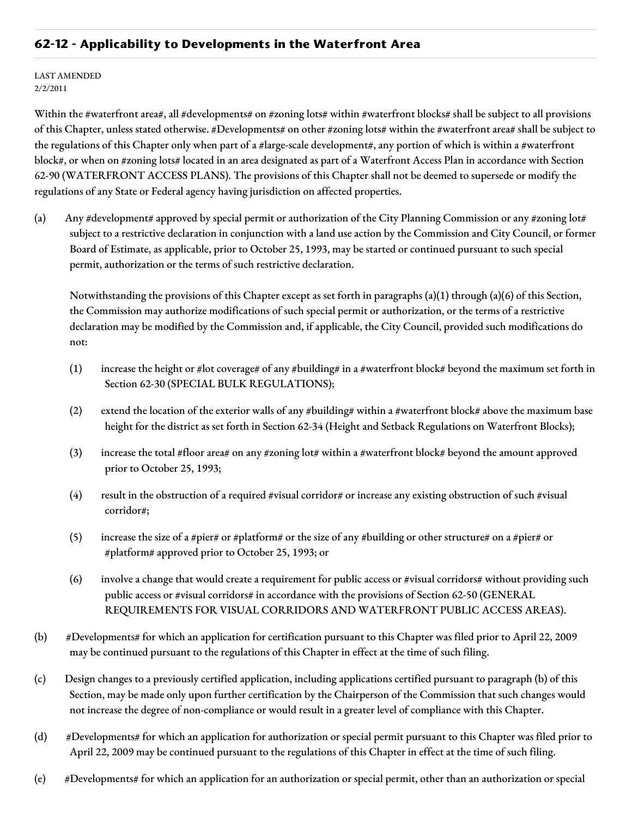## **62-12 - Applicability to Developments in the Waterfront Area**

## LAST AMENDED 2/2/2011

Within the #waterfront area#, all #developments# on #zoning lots# within #waterfront blocks# shall be subject to all provisions of this Chapter, unless stated otherwise. #Developments# on other #zoning lots# within the #waterfront area# shall be subject to the regulations of this Chapter only when part of a #large-scale development#, any portion of which is within a #waterfront block#, or when on #zoning lots# located in an area designated as part of a Waterfront Access Plan in accordance with Section 62-90 (WATERFRONT ACCESS PLANS). The provisions of this Chapter shall not be deemed to supersede or modify the regulations of any State or Federal agency having jurisdiction on affected properties.

(a) Any #development# approved by special permit or authorization of the City Planning Commission or any #zoning lot# subject to a restrictive declaration in conjunction with a land use action by the Commission and City Council, or former Board of Estimate, as applicable, prior to October 25, 1993, may be started or continued pursuant to such special permit, authorization or the terms of such restrictive declaration.

Notwithstanding the provisions of this Chapter except as set forth in paragraphs  $(a)(1)$  through  $(a)(6)$  of this Section, the Commission may authorize modifications of such special permit or authorization, or the terms of a restrictive declaration may be modified by the Commission and, if applicable, the City Council, provided such modifications do not:

- (1) increase the height or #lot coverage# of any #building# in a #waterfront block# beyond the maximum set forth in Section 62-30 (SPECIAL BULK REGULATIONS);
- (2) extend the location of the exterior walls of any #building# within a #waterfront block# above the maximum base height for the district as set forth in Section 62-34 (Height and Setback Regulations on Waterfront Blocks);
- (3) increase the total #floor area# on any #zoning lot# within a #waterfront block# beyond the amount approved prior to October 25, 1993;
- (4) result in the obstruction of a required #visual corridor# or increase any existing obstruction of such #visual corridor#;
- (5) increase the size of a #pier# or #platform# or the size of any #building or other structure# on a #pier# or #platform# approved prior to October 25, 1993; or
- (6) involve a change that would create a requirement for public access or #visual corridors# without providing such public access or #visual corridors# in accordance with the provisions of Section 62-50 (GENERAL REQUIREMENTS FOR VISUAL CORRIDORS AND WATERFRONT PUBLIC ACCESS AREAS).
- (b) #Developments# for which an application for certification pursuant to this Chapter was filed prior to April 22, 2009 may be continued pursuant to the regulations of this Chapter in effect at the time of such filing.
- (c) Design changes to a previously certified application, including applications certified pursuant to paragraph (b) of this Section, may be made only upon further certification by the Chairperson of the Commission that such changes would not increase the degree of non-compliance or would result in a greater level of compliance with this Chapter.
- (d) #Developments# for which an application for authorization or special permit pursuant to this Chapter was filed prior to April 22, 2009 may be continued pursuant to the regulations of this Chapter in effect at the time of such filing.
- (e) #Developments# for which an application for an authorization or special permit, other than an authorization or special